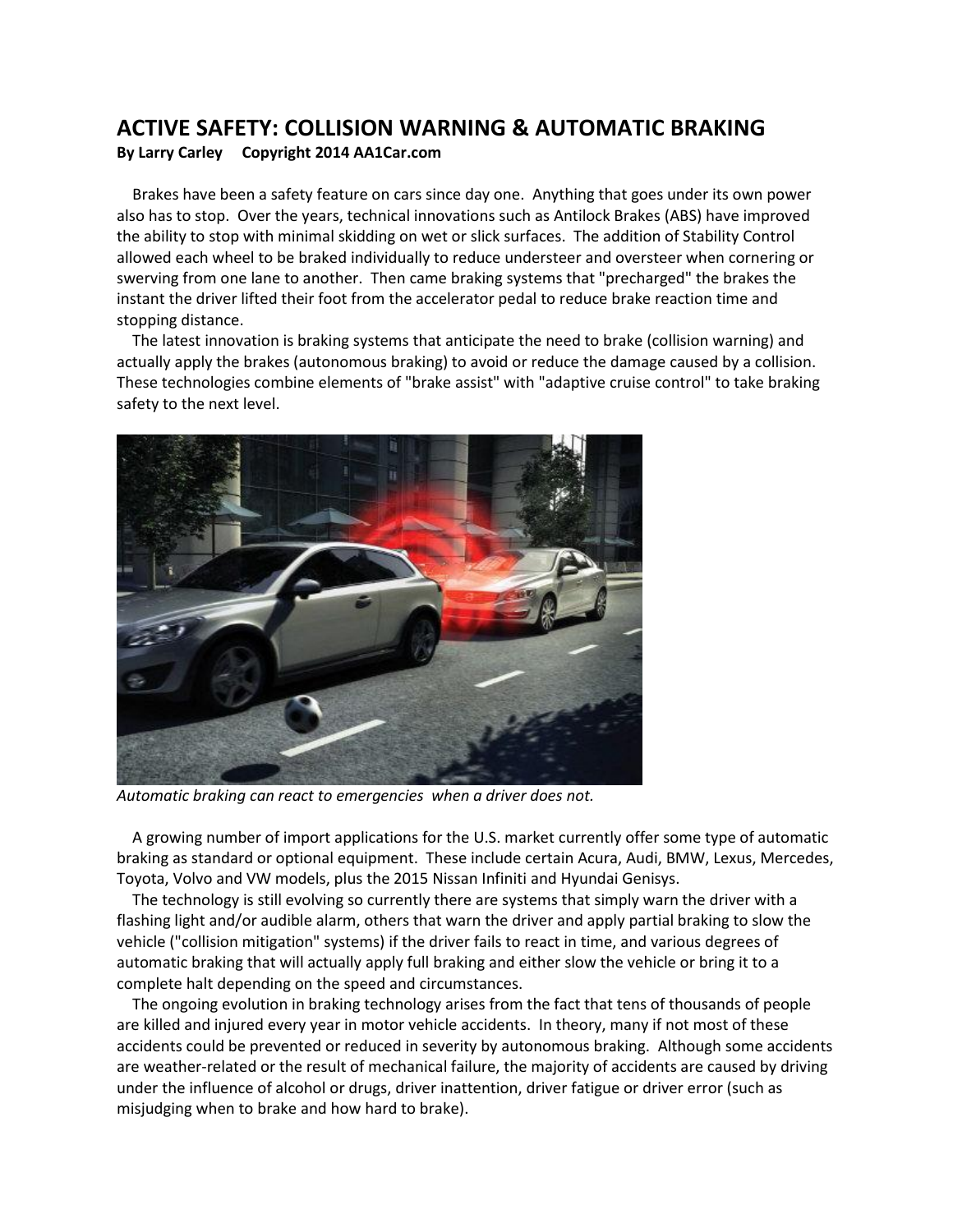## **ACTIVE SAFETY: COLLISION WARNING & AUTOMATIC BRAKING By Larry Carley Copyright 2014 AA1Car.com**

 Brakes have been a safety feature on cars since day one. Anything that goes under its own power also has to stop. Over the years, technical innovations such as Antilock Brakes (ABS) have improved the ability to stop with minimal skidding on wet or slick surfaces. The addition of Stability Control allowed each wheel to be braked individually to reduce understeer and oversteer when cornering or swerving from one lane to another. Then came braking systems that "precharged" the brakes the instant the driver lifted their foot from the accelerator pedal to reduce brake reaction time and stopping distance.

 The latest innovation is braking systems that anticipate the need to brake (collision warning) and actually apply the brakes (autonomous braking) to avoid or reduce the damage caused by a collision. These technologies combine elements of "brake assist" with "adaptive cruise control" to take braking safety to the next level.



*Automatic braking can react to emergencies when a driver does not.*

 A growing number of import applications for the U.S. market currently offer some type of automatic braking as standard or optional equipment. These include certain Acura, Audi, BMW, Lexus, Mercedes, Toyota, Volvo and VW models, plus the 2015 Nissan Infiniti and Hyundai Genisys.

 The technology is still evolving so currently there are systems that simply warn the driver with a flashing light and/or audible alarm, others that warn the driver and apply partial braking to slow the vehicle ("collision mitigation" systems) if the driver fails to react in time, and various degrees of automatic braking that will actually apply full braking and either slow the vehicle or bring it to a complete halt depending on the speed and circumstances.

 The ongoing evolution in braking technology arises from the fact that tens of thousands of people are killed and injured every year in motor vehicle accidents. In theory, many if not most of these accidents could be prevented or reduced in severity by autonomous braking. Although some accidents are weather-related or the result of mechanical failure, the majority of accidents are caused by driving under the influence of alcohol or drugs, driver inattention, driver fatigue or driver error (such as misjudging when to brake and how hard to brake).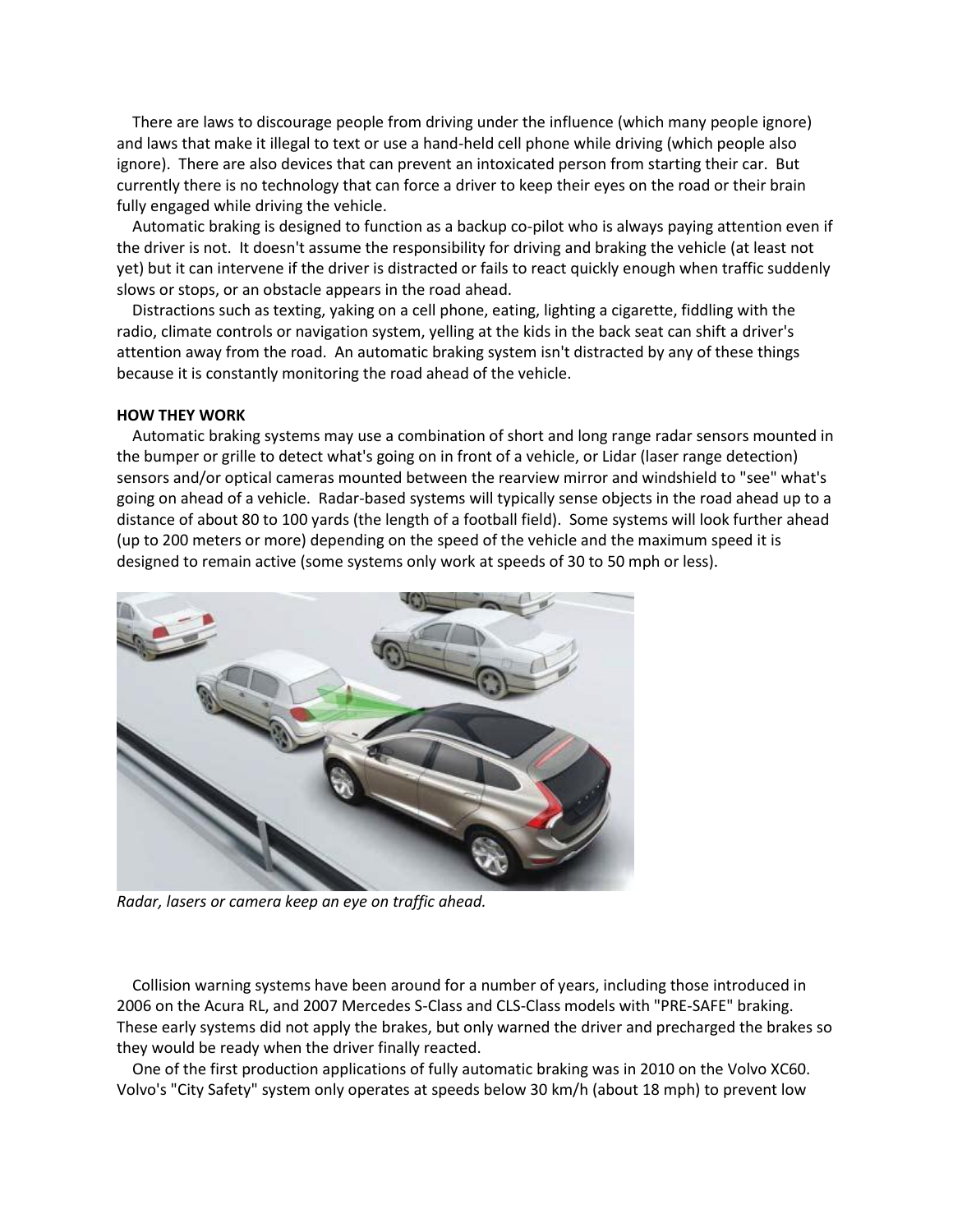There are laws to discourage people from driving under the influence (which many people ignore) and laws that make it illegal to text or use a hand-held cell phone while driving (which people also ignore). There are also devices that can prevent an intoxicated person from starting their car. But currently there is no technology that can force a driver to keep their eyes on the road or their brain fully engaged while driving the vehicle.

 Automatic braking is designed to function as a backup co-pilot who is always paying attention even if the driver is not. It doesn't assume the responsibility for driving and braking the vehicle (at least not yet) but it can intervene if the driver is distracted or fails to react quickly enough when traffic suddenly slows or stops, or an obstacle appears in the road ahead.

 Distractions such as texting, yaking on a cell phone, eating, lighting a cigarette, fiddling with the radio, climate controls or navigation system, yelling at the kids in the back seat can shift a driver's attention away from the road. An automatic braking system isn't distracted by any of these things because it is constantly monitoring the road ahead of the vehicle.

## **HOW THEY WORK**

 Automatic braking systems may use a combination of short and long range radar sensors mounted in the bumper or grille to detect what's going on in front of a vehicle, or Lidar (laser range detection) sensors and/or optical cameras mounted between the rearview mirror and windshield to "see" what's going on ahead of a vehicle. Radar-based systems will typically sense objects in the road ahead up to a distance of about 80 to 100 yards (the length of a football field). Some systems will look further ahead (up to 200 meters or more) depending on the speed of the vehicle and the maximum speed it is designed to remain active (some systems only work at speeds of 30 to 50 mph or less).



*Radar, lasers or camera keep an eye on traffic ahead.*

 Collision warning systems have been around for a number of years, including those introduced in 2006 on the Acura RL, and 2007 Mercedes S-Class and CLS-Class models with "PRE-SAFE" braking. These early systems did not apply the brakes, but only warned the driver and precharged the brakes so they would be ready when the driver finally reacted.

 One of the first production applications of fully automatic braking was in 2010 on the Volvo XC60. Volvo's "City Safety" system only operates at speeds below 30 km/h (about 18 mph) to prevent low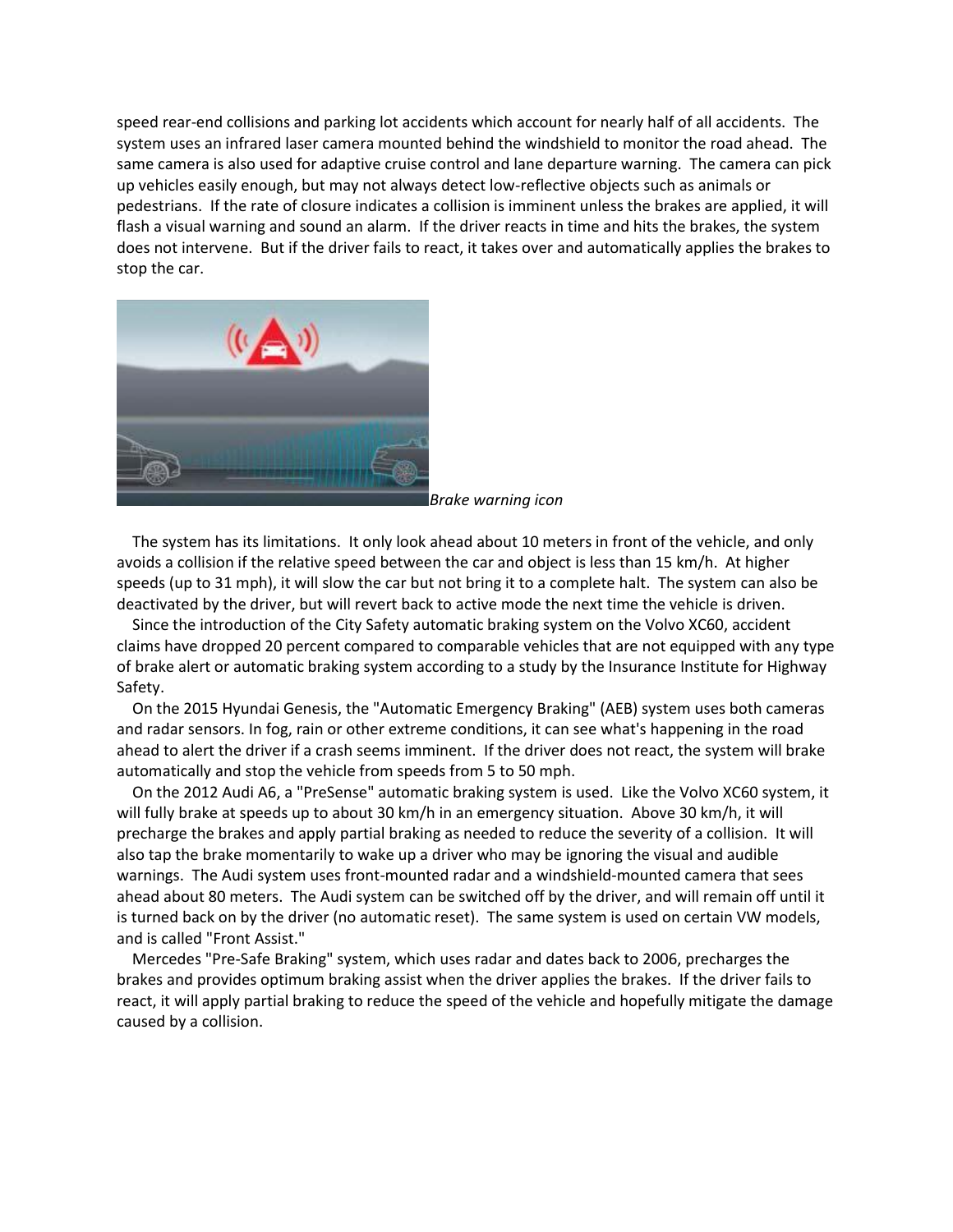speed rear-end collisions and parking lot accidents which account for nearly half of all accidents. The system uses an infrared laser camera mounted behind the windshield to monitor the road ahead. The same camera is also used for adaptive cruise control and lane departure warning. The camera can pick up vehicles easily enough, but may not always detect low-reflective objects such as animals or pedestrians. If the rate of closure indicates a collision is imminent unless the brakes are applied, it will flash a visual warning and sound an alarm. If the driver reacts in time and hits the brakes, the system does not intervene. But if the driver fails to react, it takes over and automatically applies the brakes to stop the car.



*Brake warning icon*

 The system has its limitations. It only look ahead about 10 meters in front of the vehicle, and only avoids a collision if the relative speed between the car and object is less than 15 km/h. At higher speeds (up to 31 mph), it will slow the car but not bring it to a complete halt. The system can also be deactivated by the driver, but will revert back to active mode the next time the vehicle is driven.

 Since the introduction of the City Safety automatic braking system on the Volvo XC60, accident claims have dropped 20 percent compared to comparable vehicles that are not equipped with any type of brake alert or automatic braking system according to a study by the Insurance Institute for Highway Safety.

 On the 2015 Hyundai Genesis, the "Automatic Emergency Braking" (AEB) system uses both cameras and radar sensors. In fog, rain or other extreme conditions, it can see what's happening in the road ahead to alert the driver if a crash seems imminent. If the driver does not react, the system will brake automatically and stop the vehicle from speeds from 5 to 50 mph.

 On the 2012 Audi A6, a "PreSense" automatic braking system is used. Like the Volvo XC60 system, it will fully brake at speeds up to about 30 km/h in an emergency situation. Above 30 km/h, it will precharge the brakes and apply partial braking as needed to reduce the severity of a collision. It will also tap the brake momentarily to wake up a driver who may be ignoring the visual and audible warnings. The Audi system uses front-mounted radar and a windshield-mounted camera that sees ahead about 80 meters. The Audi system can be switched off by the driver, and will remain off until it is turned back on by the driver (no automatic reset). The same system is used on certain VW models, and is called "Front Assist."

 Mercedes "Pre-Safe Braking" system, which uses radar and dates back to 2006, precharges the brakes and provides optimum braking assist when the driver applies the brakes. If the driver fails to react, it will apply partial braking to reduce the speed of the vehicle and hopefully mitigate the damage caused by a collision.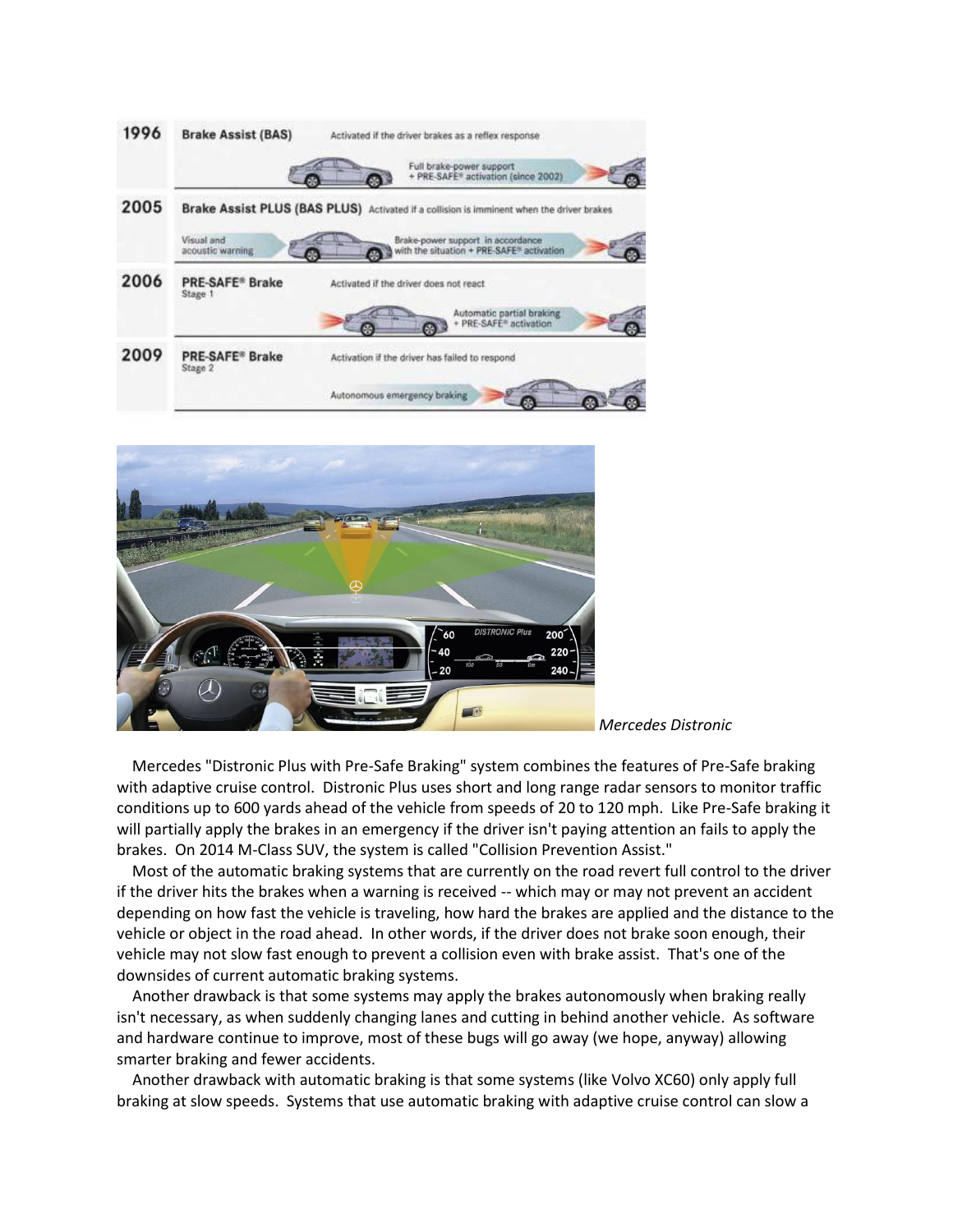



*Mercedes Distronic*

 Mercedes "Distronic Plus with Pre-Safe Braking" system combines the features of Pre-Safe braking with adaptive cruise control. Distronic Plus uses short and long range radar sensors to monitor traffic conditions up to 600 yards ahead of the vehicle from speeds of 20 to 120 mph. Like Pre-Safe braking it will partially apply the brakes in an emergency if the driver isn't paying attention an fails to apply the brakes. On 2014 M-Class SUV, the system is called "Collision Prevention Assist."

 Most of the automatic braking systems that are currently on the road revert full control to the driver if the driver hits the brakes when a warning is received -- which may or may not prevent an accident depending on how fast the vehicle is traveling, how hard the brakes are applied and the distance to the vehicle or object in the road ahead. In other words, if the driver does not brake soon enough, their vehicle may not slow fast enough to prevent a collision even with brake assist. That's one of the downsides of current automatic braking systems.

 Another drawback is that some systems may apply the brakes autonomously when braking really isn't necessary, as when suddenly changing lanes and cutting in behind another vehicle. As software and hardware continue to improve, most of these bugs will go away (we hope, anyway) allowing smarter braking and fewer accidents.

 Another drawback with automatic braking is that some systems (like Volvo XC60) only apply full braking at slow speeds. Systems that use automatic braking with adaptive cruise control can slow a